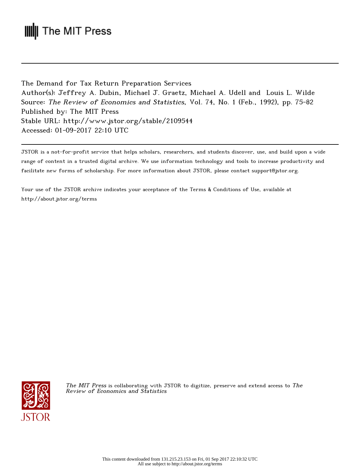# **III** The MIT Press

The Demand for Tax Return Preparation Services Author(s): Jeffrey A. Dubin, Michael J. Graetz, Michael A. Udell and Louis L. Wilde Source: The Review of Economics and Statistics, Vol. 74, No. 1 (Feb., 1992), pp. 75-82 Published by: The MIT Press Stable URL: http://www.jstor.org/stable/2109544 Accessed: 01-09-2017 22:10 UTC

JSTOR is a not-for-profit service that helps scholars, researchers, and students discover, use, and build upon a wide range of content in a trusted digital archive. We use information technology and tools to increase productivity and facilitate new forms of scholarship. For more information about JSTOR, please contact support@jstor.org.

Your use of the JSTOR archive indicates your acceptance of the Terms & Conditions of Use, available at http://about.jstor.org/terms



The MIT Press is collaborating with JSTOR to digitize, preserve and extend access to The Review of Economics and Statistics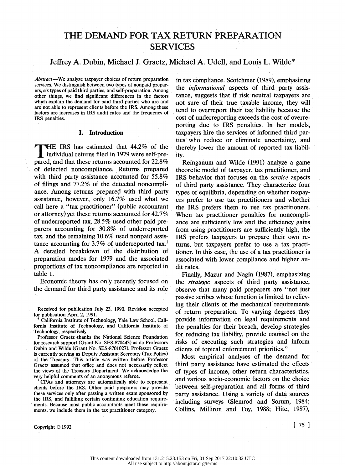## THE DEMAND FOR TAX RETURN PREPARATION SERVICES

### Jeffrey A. Dubin, Michael J. Graetz, Michael A. Udell, and Louis L. Wilde\*

Abstract-We analyze taxpayer choices of return preparation services. We distinguish between two types of nonpaid prepar ers, six types of paid third parties, and self-preparation. Among other things, we find significant differences in the factors which explain the demand for paid third parties who are and are not able to represent clients before the IRS. Among these factors are increases in IRS audit rates and the frequency of IRS penalties.

#### I. Introduction

THE IRS has estimated that 44.2% of the individual returns filed in 1979 were self-pre pared, and that these returns accounted for 22.8% of detected noncompliance. Returns prepared with third party assistance accounted for 55.8% of filings and 77.2% of the detected noncompli ance. Among returns prepared with third party assistance, however, only 16.7% used what we call here a "tax practitioner" (public accountant or attorney) yet these returns accounted for 42.7% of underreported tax, 28.5% used other paid pre parers accounting for 30.8% of underreported tax, and the remaining 10.6% used nonpaid assis tance accounting for 3.7% of underreported tax.<sup>1</sup> A detailed breakdown of the distribution of preparation modes for 1979 and the associated proportions of tax noncompliance are reported in table 1.

 Economic theory has only recently focused on the demand for third party assistance and its role

 Received for publication July 23, 1990. Revision accepted for publication April 2, 1991.

California Institute of Technology, Yale Law School, Cali fornia Institute of Technology, and California Institute of Technology, respectively.

Professor Graetz thanks the National Science Foundation for research support (Grant No. SES-870443) as do Professors Dubin and Wilde (Grant-No. SES-8701027). Professor Graetz is currently serving as Deputy Assistant Secretary (Tax Policy) of the Treasury. This article was written before Professor Graetz assumed that office and does not necessarily reflect the views of the Treasury Department. We acknowledge the very helpful comments of an anonymous referee.

 CPAs and attorneys are automatically able to represent clients before the IRS. Other paid preparers may provide these services only after passing a written exam sponsored by the IRS, and fulfilling certain continuing education require ments. Because most public accountants meet these require ments, we include them in the tax practitioner category. Copyright  $\odot$  1992 [ 75 ]

 in tax compliance. Scotchmer (1989), emphasizing the *informational* aspects of third party assis tance, suggests that if risk neutral taxpayers are not sure of their true taxable income, they will tend to overreport their tax- liability because the cost of underreporting exceeds the cost of overre porting due to IRS penalties. In her models, taxpayers hire the services of informed third par ties who reduce or eliminate uncertainty, and thereby lower the amount of reported tax liabil ity.

 Reinganum and Wilde (1991) analyze a game theoretic model of taxpayer, tax practitioner, and IRS behavior that focuses on the service aspects of third party assistance. They characterize four types of equilibria, depending on whether taxpay ers prefer'to use tax practitioners and whether the IRS prefers them to use tax practitioners. When tax practitioner penalties for noncompli ance are sufficiently low and the efficiency gains from using practitioners are sufficiently high, the IRS prefers taxpayers to prepare' their own re turns, but taxpayers prefer to use a tax practi tioner. In this case, the use of a tax practitioner is associated with lower compliance and higher au dit rates.

 Finally, Mazur and Nagin (1987), emphasizing the strategic aspects of third party assistance, observe that many paid preparers are "not just passive scribes whose function is limited to reliev ing their clients of the mechanical requirements of return preparation. To varying degrees they provide information on legal requirements and the penalties for their breach, develop strategies for reducing tax liability, provide counsel on the risks of executing such strategies and inform clients of topical enforcement priorities."

 Most empirical analyses of the demand for third party assistance have estimated the effects of types of income, other return characteristics, and various socio-economic factors on the choice between self-preparation and all forms of third party assistance. Using a variety of data sources including surveys (Slemrod and Sorum, 1984; Collins, Milliron and Toy, 1988; Hite, 1987),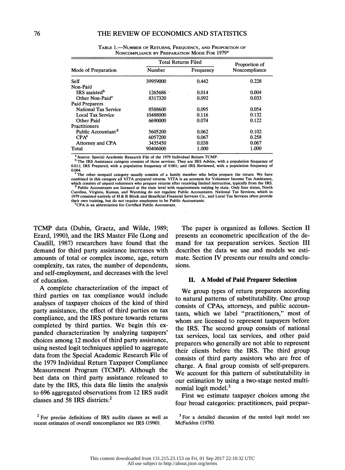|                                | <b>Total Returns Filed</b> |           | Proportion of |  |
|--------------------------------|----------------------------|-----------|---------------|--|
| Mode of Preparation            | Number                     | Frequency | Noncompliance |  |
| Self                           | 39959000                   | 0.442     | 0.228         |  |
| Non-Paid                       |                            |           |               |  |
| IRS assisted <sup>b</sup>      | 1265686                    | 0.014     | 0.004         |  |
| Other Non-Paid <sup>c</sup>    | 8317320                    | 0.092     | 0.033         |  |
| Paid Preparers                 |                            |           |               |  |
| <b>National Tax Service</b>    | 8588600                    | 0.095     | 0.054         |  |
| <b>Local Tax Service</b>       | 10488000                   | 0.116     | 0.132         |  |
| Other Paid                     | 6690000                    | 0.074     | 0.122         |  |
| Practitioners                  |                            |           |               |  |
| Public Accountant <sup>d</sup> | 5605200                    | 0.062     | 0.102         |  |
| CPA <sup>e</sup>               | 6057200                    | 0.067     | 0.258         |  |
| Attorney and CPA               | 3435450                    | 0.038     | 0.067         |  |
| Total                          | 90406000                   | 1.000     | 1.000         |  |

TABLE 1.-NUMBER OF RETURNS, FREQUENCY, AND PROPORTION OF NONCOMPLIANCE BY PREPARATION MODE FOR 1979<sup>a</sup>

 0.011; IRS Prepared, with a population frequency of 0.001; and IRS Reviewed, with a population frequency of 0.004.

 The other nonpaid category usually consists of a family member who helps prepare the return. We have combined in this category all VITA prepared returns. VITA is an acronym for Volunteer Income Tax Assistance, which consists of unpaid volunteers who prepare returns after receiving limited instruction, typically from the IRS.

Public Accountants are licensed at the state level with requirements varying by state. Only four states, North Carolina, Virginia, Kansas, and Wyoming do not regulate Public Accountants. National Tax Services, which in<br>1979 consisted entirely of H & R Block and Beneficial Financial Services Co., and Local Tax Services often provide their own training, but do not require employees to be Public Accountants.

eCPA'is an abbreviation for Certified Public Accountant.

 TCMP data (Dubin, Graetz, and Wilde, 1989; Erard, 1990), and the IRS Master File (Long and- Caudill, 1987) researchers have found that the demand for third party assistance increases with amounts of total or complex income, age, return complexity, tax rates, the number of dependents, and self-employment, and decreases with the level of education.

 A complete characterization of the impact of third parties on tax compliance would include analyses of taxpayer choices of the kind of third party assistance, the effect of third parties on tax compliance, and the IRS posture towards returns completed by third parties. We begin this ex panded characterization by analyzing taxpayers' choices among 12 modes of third party assistance, using nested logit techniques applied to aggregate data from the Special Academic Research File of the 1979 Individual Return Taxpayer Compliance Measurement Program (TCMP). Although the best data on third party assistance released to date by the IRS, this data file limits the analysis to 696 aggregated observations from 12 IRS audit classes and 58 IRS districts.2

 The paper is organized as follows. Section II presents an econometric specification of the de mand for tax preparation services. Section III describes the data we use and models we esti mate. Section IV presents our results and conclu sions.

#### II. A Model of Paid Preparer Selection

 We group types of return preparers according to natural patterns of substitutability. One group consists of CPAs, attorneys, and public accoun tants, which we label "practitioners," most of whom are licensed to represent taxpayers before the IRS. The second group consists of national tax services, local tax services, and other paid preparers who generally are not able to represent their clients before the IRS. The third group consists of third party assistors who are free of charge. A final group consists of self-preparers. We account for this pattern of substitutability in our estimation by using a two-stage nested multi nomial logit model.<sup>3</sup>

 First we estimate taxpayer choices among the four broad categories: practitioners, paid prepar-

<sup>&</sup>lt;sup>2</sup> For precise definitions of IRS audits classes as well as recent estimates of overall noncompliance see IRS (1990).

 $3$  For a detailed discussion of the nested logit model see McFadden (1978).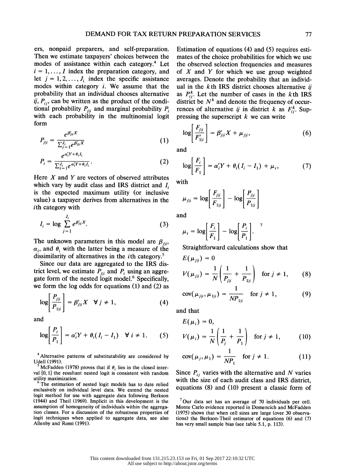ers, nonpaid preparers, and self-preparation. Then we estimate taxpayers' choices between the modes of assistance within each category.<sup>4</sup> Let  $i = 1, \ldots, I$  index the preparation category, and let  $j = 1, 2, ..., J_i$  index the specific assistance modes within category  $i$ . We assume that the probability that an individual chooses alternative ij,  $P_{ij}$ , can be written as the product of the conditional probability  $P_{j|i}$  and marginal probability  $P_i$ with each probability in the multinomial logit form

$$
P_{j|i} = \frac{e^{\beta_{j|i}^{\prime}X}}{\sum_{j=1}^{J_i} e^{\beta_{j|i}^{\prime}X}}
$$
 (1)

$$
P_i = \frac{e^{\alpha'_i Y + \theta_i I_i}}{\sum_{i=1}^J e^{\alpha'_i Y + \theta_i I_i}}.
$$
\n(2)

Here  $X$  and  $Y$  are vectors of observed attributes which vary by audit class and IRS district and  $I_i$  is the expected maximum utility (or inclusive value) a taxpayer derives from alternatives in the ith category with

$$
I_i = \log \sum_{j=1}^{J_i} e^{\beta'_{ji} X}.
$$
 (3)

The unknown parameters in this model are  $\beta_{j|i}$ ,  $\alpha_i$ , and  $\theta_i$  with the latter being a measure of the dissimilarity of alternatives in the *i*th category.<sup>5</sup>

 Since our data are aggregated to the IRS dis trict level, we estimate  $P_{j|i}$  and  $P_i$  using an aggre-  $V(u)$  gate form of the nested logit model.6 Specifically, we form the log odds for equations (1) and (2) as

$$
\log\left|\frac{P_{j|i}}{P_{1|i}}\right| = \beta'_{j|i}X \quad \forall j \neq 1,
$$
\n(4)

and

$$
\log\left[\frac{P_i}{P_1}\right] = \alpha_i' Y + \theta_i (I_i - I_1) \quad \forall \ i \neq 1. \qquad (5) \qquad V(\mu_i) = \frac{1}{N} \left(\frac{1}{P_j} + \frac{1}{P_1}\right) \quad \text{for}
$$

<sup>4</sup> Alternative patterns of substitutability are considered by Udell (1991).

McFadden (1978) proves that if  $\theta_i$  lies in the closed inter val [0,1] the resultant nested logit is consistent with random utility maximization.

The estimation of nested logit models has to date relied exclusively on individual level data. We extend the nested logit method for use with aggregate data following Berkson (1944) and Theil (1969). Implicit in this development is the assumption of homogeneity of individuals within the aggrega tion classes. For a discussion of the robustness properties of logit techniques when applied to aggregate data, see also Allenby and Rossi (1991).

 Estimation of equations (4) and (5) requires esti mates of the choice probabilities for which we use the observed selection frequencies and measures of  $X$  and  $Y$  for which we use group weighted averages. Denote the probability that an individ ual in the  $k$ th IRS district chooses alternative  $i$ as  $P_{ii}^k$ . Let the number of cases in the kth IRS district be  $N^k$  and denote the frequency of occurrences of alternative ij in district k as  $F_{ii}^k$ . Suppressing the superscript  $k$  we can write

$$
\log \left| \frac{F_{j|i}}{F'_{1|i}} \right| = \beta'_{j|i} X + \mu_{j|i}, \tag{6}
$$

and

$$
\log\left[\frac{F_i}{F_1}\right] = \alpha_i' Y + \theta_i (I_i - I_1) + \mu_i, \tag{7}
$$

with

$$
\mu_{j|i} = \log \left[ \frac{F_{j|i}}{F_{1|i}} \right] - \log \left[ \frac{P_{j|i}}{P_{1|i}} \right]
$$

and

$$
\mu_i = \log \left[ \frac{F_i}{F_1} \right] - \log \left[ \frac{P_i}{P_1} \right].
$$
<sup>7</sup>

Straightforward calculations show that

$$
E(\mu_{j|i}) = 0
$$
  

$$
V(\mu_{j|i}) = \frac{1}{N} \left( \frac{1}{P_{j|i}} + \frac{1}{P_{1|i}} \right) \text{ for } j \neq 1,
$$
 (8)

$$
cov(\mu_{j|i}, \mu_{1|i}) = \frac{1}{NP_{1|i}} \quad \text{for } j \neq 1,
$$
 (9)

and that

$$
E(\mu_i) = 0,
$$
  

$$
V(\mu_i) = \frac{1}{N} \left( \frac{1}{P_j} + \frac{1}{P_1} \right) \text{ for } j \neq 1,
$$
 (10)

$$
cov(\mu_j, \mu_1) = \frac{1}{NP_1} \quad \text{for } j \neq 1.
$$
 (11)

Since  $P_{ij}$  varies with the alternative and N varies with the size of each audit class and IRS district, equations (8) and (10) present a classic form of

 $7$  Our data set has an average of 70 individuals per cell. Monte Carlo evidence reported in Domencich and McFadden (1975) shows that when cell sizes are large (over 30 observa tions) the Berkson-Theil estimator of equations (6) and (7) has very small sample bias (see table 5.1, p. 113).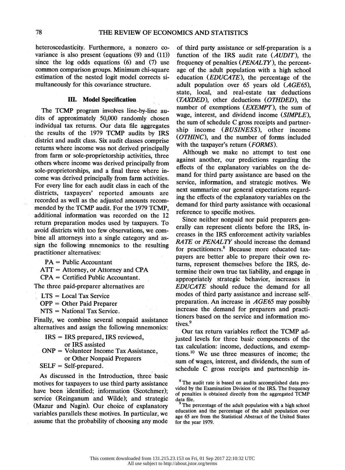heteroscedasticity. Furthermore, a nonzero co variance is also present (equations (9) and (11)) since the log odds equations (6) and (7) use common comparison groups. Minimum chi-square estimation of the nested logit model corrects si multaneously for this covariance structure.

#### III. Model Specification

 The TCMP program involves line-by-line au dits of approximately 50,000 randomly chosen individual tax returns. Our data file aggregates the results of the 1979 TCMP audits by IRS district and audit class. Six audit classes comprise returns where income was not derived principally from farm or sole-proprietorship activities, three others where income was derived principally from sole-proprietorships, and a final three where in come was derived principally from farm activities. For every line for each audit class in each of the districts, taxpayers' reported amounts are recorded as well as the adjusted amounts recom mended by the TCMP audit. For the 1979 TCMP, additional information was recorded on the 12 return preparation modes used by taxpayers. To avoid districts with too few observations, we com bine all attorneys into a single category and as sign the following mnemonics to the resulting practitioner alternatives:

PA = Public Accountant

 $ATT = Attonney$ , or Attorney and CPA

CPA = Certified Public Accountant.

The three paid-preparer alternatives are

LTS = Local Tax Service

OPP = Other Paid Preparer

NTS = National Tax Service.

 Finally, we combine several nonpaid assistance alternatives and assign the following mnemonics:

 IRS = IRS prepared, IRS reviewed, or IRS assisted ONP = Volunteer Income Tax Assistance, or Other Nonpaid Preparers

 $SELF = Self-prepared.$ 

 As discussed in the Introduction, three basic motives for taxpayers to use third-party assistance have been identified; information (Scotchmer); service (Reinganum and Wilde); and strategic (Mazur and Nagin). Our choice of explanatory variables parallels these motives. In particular, we assume that the probability of choosing any mode

 of third party assistance or self-preparation is a function of the IRS audit rate (AUDIT), the frequency of penalties (PENALTY), the percent age of the adult population with a high school education (EDUCATE), the percentage of the adult population over 65 years old (AGE65), state, local, and real-estate tax deductions (TAXDED), other deductions (OTHDED), the number of exemptions (*EXEMPT*), the sum of wage, interest, and dividend income (SIMPLE), the sum of schedule C gross receipts and partner ship income (BUSINESS), other income (OTHINC), and the number of forms included with the taxpayer's return (FORMS).

 Although we make no attempt to test one against another, our predictions regarding the effects of the explanatory variables on the de mand for third party assistance are based on the service, information, and strategic motives. We next summarize our general expectations regard ing the effects of the explanatory variables on the demand for third party assistance with occasional reference to specific motives.

 Since neither nonpaid nor paid preparers gen erally can represent clients before the IRS, in creases in the IRS enforcement activity variables RATE or PENALTY should increase the demand for practitioners.8 Because more educated tax payers are better able to prepare their own re turns, represent themselves before the, IRS, de termine their own- true tax liability, and engage in appropriately strategic behavior, increases in EDUCATE should reduce the demand for all modes of third party assistance and increase self preparation. An increase in AGE65 may possibly increase the demand for preparers and practi tioners based on the service and information mo tives.9

 Our tax return variables reflect the TCMP. ad justed levels for three basic components of the tax calculation: income, deductions, and exemp tions.'0 We use three measures of income; the sum of wages, interest, and dividends, the sum of schedule C gross receipts and partnership in-

 <sup>8</sup> The audit rate is based on audits accomplished data pro vided by the Examination Division of the IRS. The frequency of penalties is obtained directly from the aggregated TCMP data file.

The percentage of the adult population with a high school education and the percentage of the adult population over age 65 are from the Statistical Abstract of the United States for the year 1979.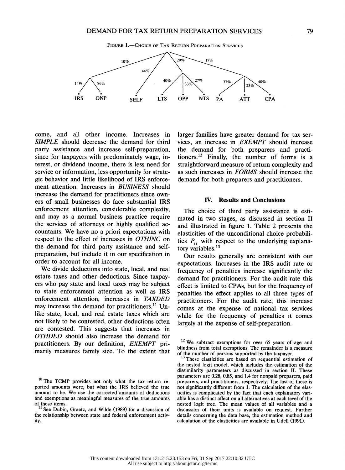

 come, and all other income. Increases in SIMPLE should decrease the demand for third party assistance and increase self-preparation, since for taxpayers with predominately wage, in terest, or dividend income, there is less need for service or information, less opportunity for strate gic behavior and little likelihood of IRS enforce ment attention. Increases in BUSINESS should increase the demand for practitioners since own ers of small businesses do face substantial IRS enforcement attention, considerable complexity, and may as a normal business practice require the services of attorneys or highly qualified ac countants. We have no a priori expectations with respect to the effect of increases in OTHINC on the demand for third party assistance and self preparation, but include it in our specification in order to account for all income.

 We divide deductions into state, local, and real estate taxes and other deductions. Since taxpay ers who pay state and local taxes may be subject to state enforcement attention as well as IRS enforcement attention, increases in TAXDED may increase the demand for practitioners.<sup>11</sup> Un like state, local, and real estate taxes which are not likely to be contested, other deductions often are contested. This suggests that increases in OTHDED should also increase the demand for practitioners. By our definition, EXEMPT pri marily measures family size. To the extent that  larger families have greater demand for tax ser vices, an increase in EXEMPT should increase the demand for both preparers and practi tioners.<sup>12</sup> Finally, the number of forms is a straightforward measure of return complexity and as such increases in FORMS should increase the demand for both preparers and practitioners.

#### IV. Results and Conclusions

 The choice of third party assistance is esti mated in two stages, as discussed in section II and illustrated in figure 1. Table 2 presents the elasticities of the unconditional choice probabili ties  $P_{ij}$  with respect to the underlying explanatory variables.<sup>13</sup>

 Our results generally are consistent with our expectations. Increases in the IRS audit rate or frequency of penalties increase significantly the demand for practitioners. For the audit rate this effect is limited to CPAs, but for the frequency of penalties the effect applies to all three types of practitioners. For the audit rate, this increase comes at the expense of national tax services while for the frequency of penalties it comes largely at the expense of self-preparation.

 $10$  The TCMP provides not only what the tax return re ported amounts were, but what the IRS believed the true amount to be. We use the corrected amounts of deductions and exemptions as meaningful measures of the true amounts of these items.

<sup>&</sup>lt;sup>11</sup> See Dubin, Graetz, and Wilde (1989) for a discussion of c the relationship between state and federal enforcement activ ity.

<sup>&</sup>lt;sup>12</sup> We subtract exemptions for over 65 years of age and blindness from total exemptions. The remainder is a measure of the number of persons supported by the taxpayer.

These elasticities are based on sequential estimation of the nested logit model, which includes the estimation of the dissimilarity parameters as discussed in section II. These parameters are 0.28, 0.85, and 1.4 for nonpaid preparers, paid preparers, and practitioners, respectively. The last of these is not significantly different from 1. The calculation of the elas ticities is complicated by the fact that each explanatory vari able has a distinct affect on all alternatives at each level of the nested logit tree. The mean values of all variables and a discussion of their units is available on request. Further details concerning the data base, the estimation method and calculation of the elasticities are available in Udell (1991).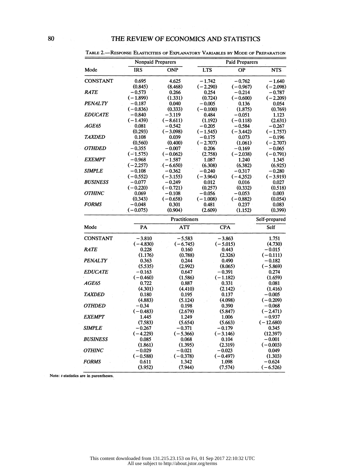|                                                                                                                                           | <b>Nonpaid Preparers</b> |                   | <b>Paid Preparers</b> |                  |             |
|-------------------------------------------------------------------------------------------------------------------------------------------|--------------------------|-------------------|-----------------------|------------------|-------------|
| Mode                                                                                                                                      | <b>IRS</b>               | <b>ONP</b>        | <b>LTS</b>            | ОP               | NTS.        |
| <b>CONSTANT</b>                                                                                                                           | 0.695                    | 4.625             | $-1.742$              | $-0.762$         | $-1.640$    |
|                                                                                                                                           | (0.845)                  | (8.468)           | $(-2.290)$            | $(-0.967)$       | $(-2.098)$  |
| <b>RATE</b>                                                                                                                               | $-0.573$                 | 0.266             | 0.254                 | $-0.214$         | $-0.787$    |
|                                                                                                                                           | $(-1.899)$               | (1.331)           | (0.724)               | $(-0.600)$       | $(-2.209)$  |
| <b>PENALTY</b>                                                                                                                            | $-0.187$                 | 0.040             | $-0.005$              | 0.136            | 0.054       |
|                                                                                                                                           | $(-0.836)$               | (0.333)           | $(-0.100)$            | (1.875)          | (0.769)     |
| <b>EDUCATE</b>                                                                                                                            | $-0.840$                 | $-3.119$          | 0.484                 | $-0.051$         | 1.123       |
|                                                                                                                                           | $(-1.439)$               | $(-8.611)$        | (1.192)               | $(-0.118)$       | (2.631)     |
| AGE65                                                                                                                                     | 0.081                    | $-0.542$          | $-0.205$              | $-0.584$         | $-0.267$    |
|                                                                                                                                           | (0.293)                  | $(-3.098)$        | $(-1.545)$            | $(-3.442)$       | $(-1.757)$  |
| <b>TAXDED</b>                                                                                                                             | 0.108                    | 0.039             | $-0.175$              | 0.073            | $-0.196$    |
|                                                                                                                                           | (0.560)                  | (0.400)           | $(-2.707)$            | (1.061)          | $(-2.707)$  |
| <b>OTHDED</b>                                                                                                                             | $-0.355$                 | $-0.007$          | 0.206                 | $-0.169$         | - 0.065     |
|                                                                                                                                           | $(-1.575)$               | $(-0.062)$        | (2.758)               | $(-2.038)$       | $(-0.791)$  |
| <b>EXEMPT</b>                                                                                                                             | -0.968                   | - 1.587           | 1.087                 | 1.240            | 1.345       |
|                                                                                                                                           | $(-2.257)$               | $(-6.650)$        | (6.308)               | (6.382)          | (6.925)     |
| <b>SIMPLE</b>                                                                                                                             | $-0.108$                 | $-0.362$          | - 0.240               | $-0.317$         | $-0.280$    |
|                                                                                                                                           | $(-0.552)$               | $(-3.155)$        | $(-3.964)$            | $(-4.352)$       | $(-3.919)$  |
| <b>BUSINESS</b>                                                                                                                           | $-0.077$                 | - 0.249           | 0.012                 | 0.016            | 0.027       |
|                                                                                                                                           | $(-0.220)$               | $(-0.721)$        | (0.257)               | (0.332)          | (0.518)     |
| <b>OTHINC</b>                                                                                                                             | 0.069                    | $-0.108$          | $-0.056$              | $-0.053$         | 0.003       |
|                                                                                                                                           | (0.343)                  | $(-0.658)$        | $(-1.008)$            | $(-0.882)$       | (0.054)     |
| <b>FORMS</b>                                                                                                                              | $-0.048$                 | 0.301             | 0.481                 | 0.237            | 0.083       |
|                                                                                                                                           | $(-0.075)$               | (0.904)           | (2.609)               | (1.152)          | (0.399)     |
|                                                                                                                                           |                          | Self-prepared     |                       |                  |             |
| Mode                                                                                                                                      | PA                       | <b>ATT</b>        |                       | <b>CPA</b>       | Self        |
| <b>CONSTANT</b>                                                                                                                           | $-3.810$                 | $-5.583$          |                       | $-3.863$         | 1.751       |
|                                                                                                                                           | $(-4.830)$               | $(-6.745)$        | $(-5.015)$            |                  | (4.730)     |
| <b>RATE</b>                                                                                                                               |                          |                   |                       | 0.443            |             |
|                                                                                                                                           | 0.228                    | 0.160             |                       |                  | $-0.015$    |
|                                                                                                                                           | (1.176)                  | (0.788)           |                       | (2.326)          | $(-0.111)$  |
|                                                                                                                                           | 0.363                    | 0.244             |                       | 0.490            | $-0.182$    |
|                                                                                                                                           | (5.535)                  | (2.992)           |                       | (8.065)          | $(-5.869)$  |
|                                                                                                                                           | $-0.163$                 | 0.647             |                       | $-0.391$         | 0.274       |
|                                                                                                                                           | $(-0.460)$               | (1.586)           |                       | $(-1.182)$       | (1.659)     |
|                                                                                                                                           | 0.722                    | 0.887             |                       | 0.331            | 0.081       |
|                                                                                                                                           | (4.301)                  | (4.410)           |                       | (2.142)          | (1.416)     |
|                                                                                                                                           | 0.180                    | 0.195             |                       | 0.137            | $-0.005$    |
|                                                                                                                                           | (4.883)                  | (5.124)           |                       | (4.098)          | $(-0.209)$  |
|                                                                                                                                           | $-0.34$                  | 0.198             |                       | 0.390            | $-0.068$    |
|                                                                                                                                           | $(-0.483)$               | (2.679)           |                       | (5.847)          | $(-2.471)$  |
|                                                                                                                                           | 1.445                    | 1.249             |                       | 1.006            | $-0.937$    |
|                                                                                                                                           | (7.583)                  |                   |                       | (5.663)          | $(-12.680)$ |
|                                                                                                                                           | - 0.267                  | (5.654)<br>-0.371 |                       | $-0.179$         | 0.345       |
|                                                                                                                                           | $(-4.229)$               | $(-5.366)$        |                       | $(-3.146)$       | (12.397)    |
|                                                                                                                                           | 0.085                    | 0.068             |                       | 0.104            | $-0.001$    |
|                                                                                                                                           | (1.861)                  | (1.395)           |                       | (2.319)          | $(-0.003)$  |
|                                                                                                                                           | $-0.029$                 | $-0.021$          |                       | $-0.023$         | 0.049       |
| <b>TAXDED</b>                                                                                                                             | $(-0.588)$               | $(-0.378)$        |                       | $(-0.497)$       | (1.303)     |
| <b>PENALTY</b><br><b>EDUCATE</b><br>AGE65<br><b>OTHDED</b><br><b>EXEMPT</b><br>SIMPLE<br><b>BUSINESS</b><br><b>OTHINC</b><br><b>FORMS</b> | 0.611                    | 1.342             |                       | 1.098<br>(7.574) | $-0.624$    |

TABLE 2.-RESPONSE ELASTICITIES OF EXPLANATORY VARIABLES BY MODE OF PREPARATION

Note: t-statistics are in parentheses.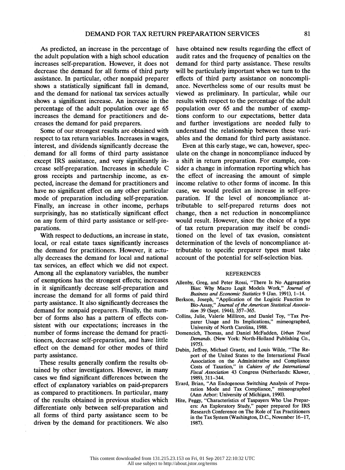As predicted, an increase in the percentage of the adult population with a high school education increases self-preparation. However, it does not decrease the demand for all forms of third party assistance. In particular, other nonpaid preparer shows a statistically significant fall in demand, and the demand for national tax services actually shows a significant increase. An increase in the percentage of the adult population over age 65 increases the demand for practitioners and de creases the demand for paid preparers.

 Some of our strongest results are obtained with respect to tax return variables. Increases in wages, interest, and dividends significantly decrease the demand for all forms of third party assistance except IRS assistance, and very significantly in crease self-preparation. Increases in schedule C gross receipts and partnership income, as ex pected, increase the demand for practitioners and have no significant effect on any other particular mode of preparation including self-preparation. Finally, an increase in other income, perhaps surprisingly, has no statistically significant effect on any form of third party assistance or self-pre parations.

 With respect to deductions, an increase in state, local, or real estate taxes significantly increases the demand for practitioners. However, it actu ally decreases the demand for local and national tax services, an effect which' we did not expect. Among all the explanatory variables, the number of exemptions has the strongest effects; increases in it significantly decrease self-preparation and increase the demand for all forms of paid third party assistance. It also significantly decreases the demand for nonpaid preparers. Finally, the num ber of forms also has a pattern of effects con sistent with our expectations; increases in the number of forms increase the demand for practi tioners, decrease self-preparation, and have little effect on the demand for other modes of third party assistance.

These results generally confirm the results ob tained by other investigators. However, in many cases we find significant differences between the' effect of explanatory variables on paid-preparers as compared to practitioners. In particular, many of the results obtained in previous studies which differentiate only between self-preparation and all forms of third party assistance seem to be driven by the demand for practitioners. We also

 have obtained new results regarding the effect of audit rates and the frequency of penalties on the demand for third party assistance. These results will be particularly important when we turn to the effects of third party assistance on noncompli ance. Nevertheless some of our results must be viewed as preliminary. In particular, while our results with respect to the percentage of the adult population over 65 and the number of exemp tions conform to our expectations, better data and further investigations are needed fully to understand the relationship between' these vari ables and the demand for third party assistance.

 Even at this early stage, we can, however, spec ulate on the change in noncompliance induced by a shift in return preparation. For example, con sider a change in information reporting which has the effect of increasing the amount of simple income relative to other forms of income. In this case, we would predict an increase in self-pre paration. If the level of noncompliance at tributable to self-prepared returns does not change, then a net reduction in noncompliance would result. However, since the choice of a type of tax return preparation may itself be condi tioned on the level of tax evasion, consistent determination of the levels of noncompliance at tributable to specific preparer types must take account of the potential for self-selection bias.

#### REFERENCES

- Allenby, Greg, and Peter Rossi, "There Is No Aggregation Bias: Why Macro Logit Models Work," Journal of Business and Economic Statistics 9 (Jan. 1991), 1-14.
- Berkson, Joseph, "Application of the Logistic Function to Bio-Assay," Journal of the American Statistical Associa tion 39 (Sept. 1944), 357-365.
- Collins, Julie, Valerie Milliron, and Daniel Toy, "Tax Pre parer Usage and Its Implications," mimeographed, University of North Carolina, 1988.
- Domencich, Thomas, and Daniel McFadden, Urban Travel Demands. (New York: North-Holland Publishing Co., 1975).
- Dubin, Jeffrey, Michael Graetz, and Louis Wilde, "The Re port of the United States to the International Fiscal, Association on the Administrative and Compliance Costs of Taxation," in Cahiers of the Intemational Fiscal Association 43 Congress (Netherlands: Kluwer, 1989), 311-344.
- Erard, Brian, "An Endogenous Switching Analysis of Prepa ration Mode and Tax Compliance," mimeographed (Ann Arbor: University of Michigan, 1990).
- Hite, Peggy, "Characteristics of Taxpayers Who Use Prepar ers: An Exploratory Study," paper prepared for IRS Research Conference on The Role of Tax Practitioners in the Tax System (Washington, D.C., November 16-17, 1987).